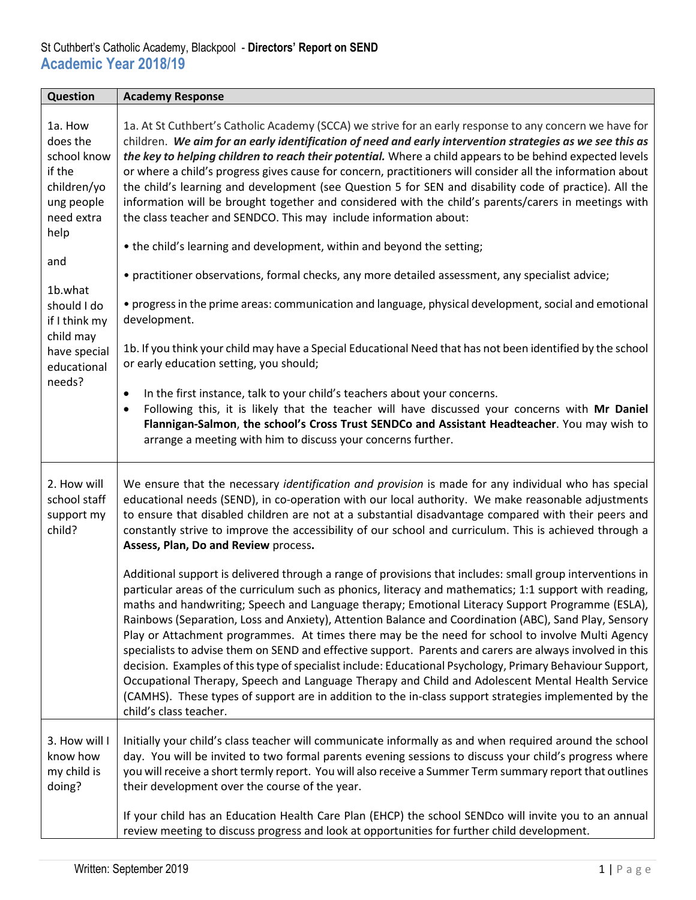| Question                                                                                        | <b>Academy Response</b>                                                                                                                                                                                                                                                                                                                                                                                                                                                                                                                                                                                                                                                                                                                                                                                                                                                                                                                                                                               |
|-------------------------------------------------------------------------------------------------|-------------------------------------------------------------------------------------------------------------------------------------------------------------------------------------------------------------------------------------------------------------------------------------------------------------------------------------------------------------------------------------------------------------------------------------------------------------------------------------------------------------------------------------------------------------------------------------------------------------------------------------------------------------------------------------------------------------------------------------------------------------------------------------------------------------------------------------------------------------------------------------------------------------------------------------------------------------------------------------------------------|
| 1a. How<br>does the<br>school know<br>if the<br>children/yo<br>ung people<br>need extra<br>help | 1a. At St Cuthbert's Catholic Academy (SCCA) we strive for an early response to any concern we have for<br>children. We aim for an early identification of need and early intervention strategies as we see this as<br>the key to helping children to reach their potential. Where a child appears to be behind expected levels<br>or where a child's progress gives cause for concern, practitioners will consider all the information about<br>the child's learning and development (see Question 5 for SEN and disability code of practice). All the<br>information will be brought together and considered with the child's parents/carers in meetings with<br>the class teacher and SENDCO. This may include information about:                                                                                                                                                                                                                                                                  |
|                                                                                                 | • the child's learning and development, within and beyond the setting;                                                                                                                                                                                                                                                                                                                                                                                                                                                                                                                                                                                                                                                                                                                                                                                                                                                                                                                                |
| and                                                                                             | • practitioner observations, formal checks, any more detailed assessment, any specialist advice;                                                                                                                                                                                                                                                                                                                                                                                                                                                                                                                                                                                                                                                                                                                                                                                                                                                                                                      |
| 1b.what<br>should I do<br>if I think my                                                         | • progress in the prime areas: communication and language, physical development, social and emotional<br>development.                                                                                                                                                                                                                                                                                                                                                                                                                                                                                                                                                                                                                                                                                                                                                                                                                                                                                 |
| child may<br>have special<br>educational                                                        | 1b. If you think your child may have a Special Educational Need that has not been identified by the school<br>or early education setting, you should;                                                                                                                                                                                                                                                                                                                                                                                                                                                                                                                                                                                                                                                                                                                                                                                                                                                 |
| needs?                                                                                          | In the first instance, talk to your child's teachers about your concerns.<br>$\bullet$<br>Following this, it is likely that the teacher will have discussed your concerns with Mr Daniel<br>$\bullet$<br>Flannigan-Salmon, the school's Cross Trust SENDCo and Assistant Headteacher. You may wish to<br>arrange a meeting with him to discuss your concerns further.                                                                                                                                                                                                                                                                                                                                                                                                                                                                                                                                                                                                                                 |
| 2. How will<br>school staff<br>support my<br>child?                                             | We ensure that the necessary identification and provision is made for any individual who has special<br>educational needs (SEND), in co-operation with our local authority. We make reasonable adjustments<br>to ensure that disabled children are not at a substantial disadvantage compared with their peers and<br>constantly strive to improve the accessibility of our school and curriculum. This is achieved through a<br>Assess, Plan, Do and Review process.                                                                                                                                                                                                                                                                                                                                                                                                                                                                                                                                 |
|                                                                                                 | Additional support is delivered through a range of provisions that includes: small group interventions in<br>particular areas of the curriculum such as phonics, literacy and mathematics; 1:1 support with reading,<br>maths and handwriting; Speech and Language therapy; Emotional Literacy Support Programme (ESLA),<br>Rainbows (Separation, Loss and Anxiety), Attention Balance and Coordination (ABC), Sand Play, Sensory<br>Play or Attachment programmes. At times there may be the need for school to involve Multi Agency<br>specialists to advise them on SEND and effective support. Parents and carers are always involved in this<br>decision. Examples of this type of specialist include: Educational Psychology, Primary Behaviour Support,<br>Occupational Therapy, Speech and Language Therapy and Child and Adolescent Mental Health Service<br>(CAMHS). These types of support are in addition to the in-class support strategies implemented by the<br>child's class teacher. |
| 3. How will I<br>know how<br>my child is<br>doing?                                              | Initially your child's class teacher will communicate informally as and when required around the school<br>day. You will be invited to two formal parents evening sessions to discuss your child's progress where<br>you will receive a short termly report. You will also receive a Summer Term summary report that outlines<br>their development over the course of the year.                                                                                                                                                                                                                                                                                                                                                                                                                                                                                                                                                                                                                       |
|                                                                                                 | If your child has an Education Health Care Plan (EHCP) the school SENDco will invite you to an annual<br>review meeting to discuss progress and look at opportunities for further child development.                                                                                                                                                                                                                                                                                                                                                                                                                                                                                                                                                                                                                                                                                                                                                                                                  |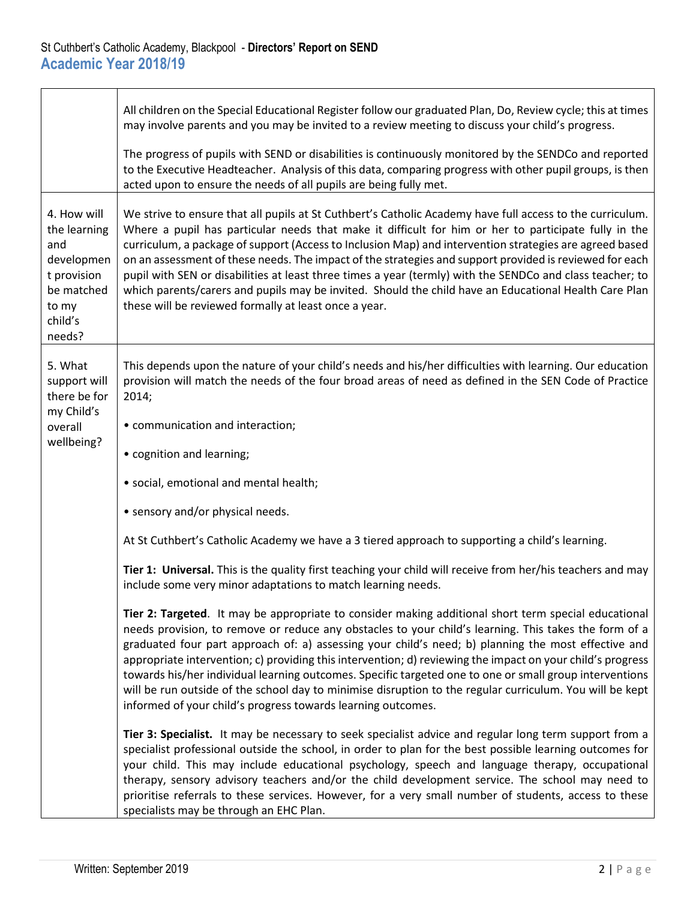|                                                                                                             | All children on the Special Educational Register follow our graduated Plan, Do, Review cycle; this at times<br>may involve parents and you may be invited to a review meeting to discuss your child's progress.                                                                                                                                                                                                                                                                                                                                                                                                                                                                                                           |
|-------------------------------------------------------------------------------------------------------------|---------------------------------------------------------------------------------------------------------------------------------------------------------------------------------------------------------------------------------------------------------------------------------------------------------------------------------------------------------------------------------------------------------------------------------------------------------------------------------------------------------------------------------------------------------------------------------------------------------------------------------------------------------------------------------------------------------------------------|
|                                                                                                             | The progress of pupils with SEND or disabilities is continuously monitored by the SENDCo and reported<br>to the Executive Headteacher. Analysis of this data, comparing progress with other pupil groups, is then<br>acted upon to ensure the needs of all pupils are being fully met.                                                                                                                                                                                                                                                                                                                                                                                                                                    |
| 4. How will<br>the learning<br>and<br>developmen<br>t provision<br>be matched<br>to my<br>child's<br>needs? | We strive to ensure that all pupils at St Cuthbert's Catholic Academy have full access to the curriculum.<br>Where a pupil has particular needs that make it difficult for him or her to participate fully in the<br>curriculum, a package of support (Access to Inclusion Map) and intervention strategies are agreed based<br>on an assessment of these needs. The impact of the strategies and support provided is reviewed for each<br>pupil with SEN or disabilities at least three times a year (termly) with the SENDCo and class teacher; to<br>which parents/carers and pupils may be invited. Should the child have an Educational Health Care Plan<br>these will be reviewed formally at least once a year.    |
| 5. What<br>support will<br>there be for<br>my Child's                                                       | This depends upon the nature of your child's needs and his/her difficulties with learning. Our education<br>provision will match the needs of the four broad areas of need as defined in the SEN Code of Practice<br>2014;                                                                                                                                                                                                                                                                                                                                                                                                                                                                                                |
| overall                                                                                                     | • communication and interaction;                                                                                                                                                                                                                                                                                                                                                                                                                                                                                                                                                                                                                                                                                          |
| wellbeing?                                                                                                  | • cognition and learning;                                                                                                                                                                                                                                                                                                                                                                                                                                                                                                                                                                                                                                                                                                 |
|                                                                                                             | · social, emotional and mental health;                                                                                                                                                                                                                                                                                                                                                                                                                                                                                                                                                                                                                                                                                    |
|                                                                                                             | • sensory and/or physical needs.                                                                                                                                                                                                                                                                                                                                                                                                                                                                                                                                                                                                                                                                                          |
|                                                                                                             | At St Cuthbert's Catholic Academy we have a 3 tiered approach to supporting a child's learning.                                                                                                                                                                                                                                                                                                                                                                                                                                                                                                                                                                                                                           |
|                                                                                                             | Tier 1: Universal. This is the quality first teaching your child will receive from her/his teachers and may<br>include some very minor adaptations to match learning needs.                                                                                                                                                                                                                                                                                                                                                                                                                                                                                                                                               |
|                                                                                                             | Tier 2: Targeted. It may be appropriate to consider making additional short term special educational<br>needs provision, to remove or reduce any obstacles to your child's learning. This takes the form of a<br>graduated four part approach of: a) assessing your child's need; b) planning the most effective and<br>appropriate intervention; c) providing this intervention; d) reviewing the impact on your child's progress<br>towards his/her individual learning outcomes. Specific targeted one to one or small group interventions<br>will be run outside of the school day to minimise disruption to the regular curriculum. You will be kept<br>informed of your child's progress towards learning outcomes. |
|                                                                                                             | Tier 3: Specialist. It may be necessary to seek specialist advice and regular long term support from a<br>specialist professional outside the school, in order to plan for the best possible learning outcomes for<br>your child. This may include educational psychology, speech and language therapy, occupational<br>therapy, sensory advisory teachers and/or the child development service. The school may need to<br>prioritise referrals to these services. However, for a very small number of students, access to these<br>specialists may be through an EHC Plan.                                                                                                                                               |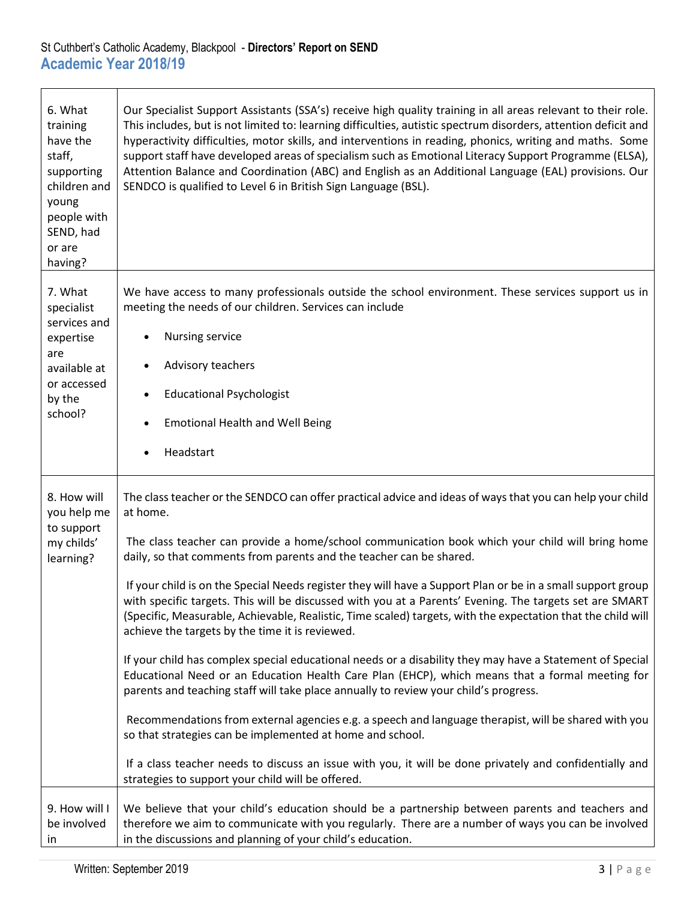| 6. What<br>training<br>have the<br>staff,<br>supporting<br>children and<br>young<br>people with<br>SEND, had<br>or are<br>having? | Our Specialist Support Assistants (SSA's) receive high quality training in all areas relevant to their role.<br>This includes, but is not limited to: learning difficulties, autistic spectrum disorders, attention deficit and<br>hyperactivity difficulties, motor skills, and interventions in reading, phonics, writing and maths. Some<br>support staff have developed areas of specialism such as Emotional Literacy Support Programme (ELSA),<br>Attention Balance and Coordination (ABC) and English as an Additional Language (EAL) provisions. Our<br>SENDCO is qualified to Level 6 in British Sign Language (BSL).                                                                                                                                                                                                                                                                                                                                                                                                                                                                                                                                                                                                                                                                                                           |
|-----------------------------------------------------------------------------------------------------------------------------------|------------------------------------------------------------------------------------------------------------------------------------------------------------------------------------------------------------------------------------------------------------------------------------------------------------------------------------------------------------------------------------------------------------------------------------------------------------------------------------------------------------------------------------------------------------------------------------------------------------------------------------------------------------------------------------------------------------------------------------------------------------------------------------------------------------------------------------------------------------------------------------------------------------------------------------------------------------------------------------------------------------------------------------------------------------------------------------------------------------------------------------------------------------------------------------------------------------------------------------------------------------------------------------------------------------------------------------------|
| 7. What<br>specialist<br>services and<br>expertise<br>are<br>available at<br>or accessed<br>by the<br>school?                     | We have access to many professionals outside the school environment. These services support us in<br>meeting the needs of our children. Services can include<br>Nursing service<br>Advisory teachers<br><b>Educational Psychologist</b><br>$\bullet$<br><b>Emotional Health and Well Being</b><br>Headstart                                                                                                                                                                                                                                                                                                                                                                                                                                                                                                                                                                                                                                                                                                                                                                                                                                                                                                                                                                                                                              |
| 8. How will<br>you help me<br>to support<br>my childs'<br>learning?                                                               | The class teacher or the SENDCO can offer practical advice and ideas of ways that you can help your child<br>at home.<br>The class teacher can provide a home/school communication book which your child will bring home<br>daily, so that comments from parents and the teacher can be shared.<br>If your child is on the Special Needs register they will have a Support Plan or be in a small support group<br>with specific targets. This will be discussed with you at a Parents' Evening. The targets set are SMART<br>(Specific, Measurable, Achievable, Realistic, Time scaled) targets, with the expectation that the child will<br>achieve the targets by the time it is reviewed.<br>If your child has complex special educational needs or a disability they may have a Statement of Special<br>Educational Need or an Education Health Care Plan (EHCP), which means that a formal meeting for<br>parents and teaching staff will take place annually to review your child's progress.<br>Recommendations from external agencies e.g. a speech and language therapist, will be shared with you<br>so that strategies can be implemented at home and school.<br>If a class teacher needs to discuss an issue with you, it will be done privately and confidentially and<br>strategies to support your child will be offered. |
| 9. How will I<br>be involved<br>in                                                                                                | We believe that your child's education should be a partnership between parents and teachers and<br>therefore we aim to communicate with you regularly. There are a number of ways you can be involved<br>in the discussions and planning of your child's education.                                                                                                                                                                                                                                                                                                                                                                                                                                                                                                                                                                                                                                                                                                                                                                                                                                                                                                                                                                                                                                                                      |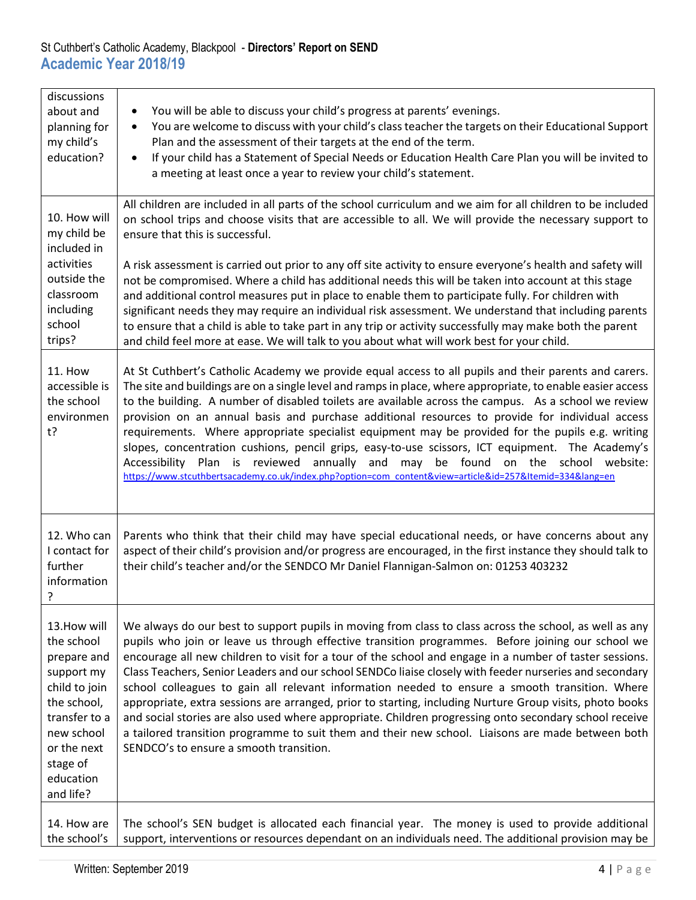| discussions<br>about and<br>planning for<br>my child's<br>education?                                                                                                        | You will be able to discuss your child's progress at parents' evenings.<br>You are welcome to discuss with your child's class teacher the targets on their Educational Support<br>$\bullet$<br>Plan and the assessment of their targets at the end of the term.<br>If your child has a Statement of Special Needs or Education Health Care Plan you will be invited to<br>$\bullet$<br>a meeting at least once a year to review your child's statement.                                                                                                                                                                                                                                                                                                                                                                                                                                                    |
|-----------------------------------------------------------------------------------------------------------------------------------------------------------------------------|------------------------------------------------------------------------------------------------------------------------------------------------------------------------------------------------------------------------------------------------------------------------------------------------------------------------------------------------------------------------------------------------------------------------------------------------------------------------------------------------------------------------------------------------------------------------------------------------------------------------------------------------------------------------------------------------------------------------------------------------------------------------------------------------------------------------------------------------------------------------------------------------------------|
| 10. How will<br>my child be<br>included in<br>activities<br>outside the<br>classroom                                                                                        | All children are included in all parts of the school curriculum and we aim for all children to be included<br>on school trips and choose visits that are accessible to all. We will provide the necessary support to<br>ensure that this is successful.<br>A risk assessment is carried out prior to any off site activity to ensure everyone's health and safety will<br>not be compromised. Where a child has additional needs this will be taken into account at this stage<br>and additional control measures put in place to enable them to participate fully. For children with                                                                                                                                                                                                                                                                                                                      |
| including<br>school<br>trips?                                                                                                                                               | significant needs they may require an individual risk assessment. We understand that including parents<br>to ensure that a child is able to take part in any trip or activity successfully may make both the parent<br>and child feel more at ease. We will talk to you about what will work best for your child.                                                                                                                                                                                                                                                                                                                                                                                                                                                                                                                                                                                          |
| <b>11. How</b><br>accessible is<br>the school<br>environmen<br>$t$ ?                                                                                                        | At St Cuthbert's Catholic Academy we provide equal access to all pupils and their parents and carers.<br>The site and buildings are on a single level and ramps in place, where appropriate, to enable easier access<br>to the building. A number of disabled toilets are available across the campus. As a school we review<br>provision on an annual basis and purchase additional resources to provide for individual access<br>requirements. Where appropriate specialist equipment may be provided for the pupils e.g. writing<br>slopes, concentration cushions, pencil grips, easy-to-use scissors, ICT equipment. The Academy's<br>reviewed<br>annually<br>be found<br>on the school website:<br>Accessibility<br>Plan<br>is<br>and<br>may<br>https://www.stcuthbertsacademy.co.uk/index.php?option=com_content&view=article&id=257&Itemid=334⟨=en                                                 |
| 12. Who can<br>I contact for<br>further<br>information<br>?                                                                                                                 | Parents who think that their child may have special educational needs, or have concerns about any<br>aspect of their child's provision and/or progress are encouraged, in the first instance they should talk to<br>their child's teacher and/or the SENDCO Mr Daniel Flannigan-Salmon on: 01253 403232                                                                                                                                                                                                                                                                                                                                                                                                                                                                                                                                                                                                    |
| 13. How will<br>the school<br>prepare and<br>support my<br>child to join<br>the school,<br>transfer to a<br>new school<br>or the next<br>stage of<br>education<br>and life? | We always do our best to support pupils in moving from class to class across the school, as well as any<br>pupils who join or leave us through effective transition programmes. Before joining our school we<br>encourage all new children to visit for a tour of the school and engage in a number of taster sessions.<br>Class Teachers, Senior Leaders and our school SENDCo liaise closely with feeder nurseries and secondary<br>school colleagues to gain all relevant information needed to ensure a smooth transition. Where<br>appropriate, extra sessions are arranged, prior to starting, including Nurture Group visits, photo books<br>and social stories are also used where appropriate. Children progressing onto secondary school receive<br>a tailored transition programme to suit them and their new school. Liaisons are made between both<br>SENDCO's to ensure a smooth transition. |
| 14. How are<br>the school's                                                                                                                                                 | The school's SEN budget is allocated each financial year. The money is used to provide additional<br>support, interventions or resources dependant on an individuals need. The additional provision may be                                                                                                                                                                                                                                                                                                                                                                                                                                                                                                                                                                                                                                                                                                 |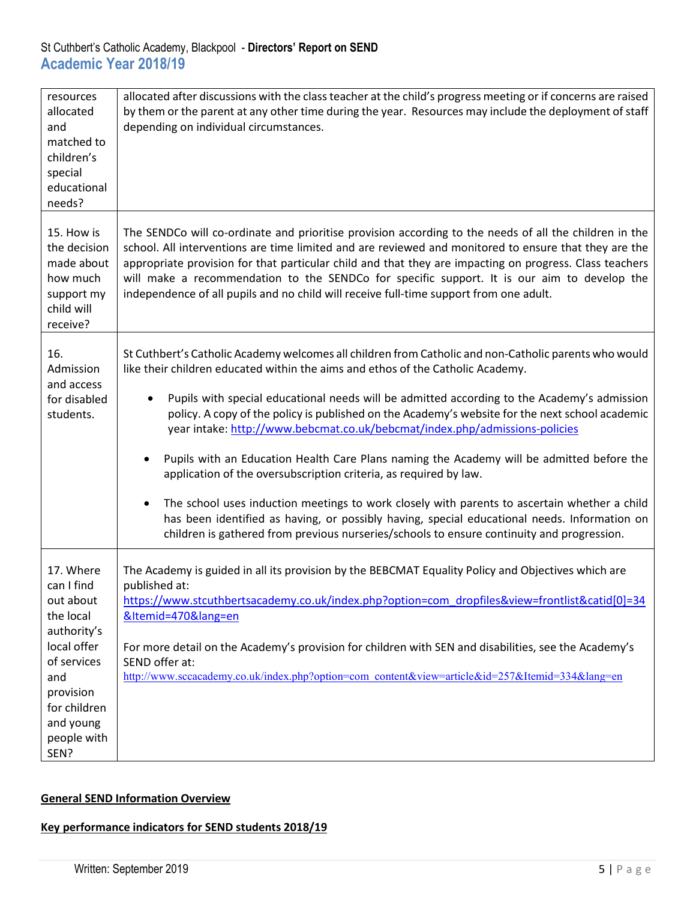| resources                                                                                    | allocated after discussions with the class teacher at the child's progress meeting or if concerns are raised                                                                                                                                                                                                                                                                                                                                                                                                        |
|----------------------------------------------------------------------------------------------|---------------------------------------------------------------------------------------------------------------------------------------------------------------------------------------------------------------------------------------------------------------------------------------------------------------------------------------------------------------------------------------------------------------------------------------------------------------------------------------------------------------------|
| allocated                                                                                    | by them or the parent at any other time during the year. Resources may include the deployment of staff                                                                                                                                                                                                                                                                                                                                                                                                              |
| and                                                                                          | depending on individual circumstances.                                                                                                                                                                                                                                                                                                                                                                                                                                                                              |
| matched to                                                                                   |                                                                                                                                                                                                                                                                                                                                                                                                                                                                                                                     |
| children's                                                                                   |                                                                                                                                                                                                                                                                                                                                                                                                                                                                                                                     |
| special                                                                                      |                                                                                                                                                                                                                                                                                                                                                                                                                                                                                                                     |
| educational                                                                                  |                                                                                                                                                                                                                                                                                                                                                                                                                                                                                                                     |
| needs?                                                                                       |                                                                                                                                                                                                                                                                                                                                                                                                                                                                                                                     |
| 15. How is<br>the decision<br>made about<br>how much<br>support my<br>child will<br>receive? | The SENDCo will co-ordinate and prioritise provision according to the needs of all the children in the<br>school. All interventions are time limited and are reviewed and monitored to ensure that they are the<br>appropriate provision for that particular child and that they are impacting on progress. Class teachers<br>will make a recommendation to the SENDCo for specific support. It is our aim to develop the<br>independence of all pupils and no child will receive full-time support from one adult. |
| 16.<br>Admission<br>and access                                                               | St Cuthbert's Catholic Academy welcomes all children from Catholic and non-Catholic parents who would<br>like their children educated within the aims and ethos of the Catholic Academy.                                                                                                                                                                                                                                                                                                                            |
| for disabled<br>students.                                                                    | Pupils with special educational needs will be admitted according to the Academy's admission<br>$\bullet$<br>policy. A copy of the policy is published on the Academy's website for the next school academic<br>year intake: http://www.bebcmat.co.uk/bebcmat/index.php/admissions-policies                                                                                                                                                                                                                          |
|                                                                                              | Pupils with an Education Health Care Plans naming the Academy will be admitted before the<br>application of the oversubscription criteria, as required by law.                                                                                                                                                                                                                                                                                                                                                      |
|                                                                                              | The school uses induction meetings to work closely with parents to ascertain whether a child<br>has been identified as having, or possibly having, special educational needs. Information on<br>children is gathered from previous nurseries/schools to ensure continuity and progression.                                                                                                                                                                                                                          |
| 17. Where<br>can I find                                                                      | The Academy is guided in all its provision by the BEBCMAT Equality Policy and Objectives which are<br>published at:                                                                                                                                                                                                                                                                                                                                                                                                 |
| out about                                                                                    | https://www.stcuthbertsacademy.co.uk/index.php?option=com_dropfiles&view=frontlist&catid[0]=34                                                                                                                                                                                                                                                                                                                                                                                                                      |
| the local                                                                                    | &Itemid=470⟨=en                                                                                                                                                                                                                                                                                                                                                                                                                                                                                                     |
| authority's                                                                                  |                                                                                                                                                                                                                                                                                                                                                                                                                                                                                                                     |
| local offer                                                                                  | For more detail on the Academy's provision for children with SEN and disabilities, see the Academy's<br>SEND offer at:                                                                                                                                                                                                                                                                                                                                                                                              |
| of services<br>and                                                                           | http://www.sccacademy.co.uk/index.php?option=com_content&view=article&id=257&Itemid=334⟨=en                                                                                                                                                                                                                                                                                                                                                                                                                         |
| provision                                                                                    |                                                                                                                                                                                                                                                                                                                                                                                                                                                                                                                     |
| for children                                                                                 |                                                                                                                                                                                                                                                                                                                                                                                                                                                                                                                     |
| and young                                                                                    |                                                                                                                                                                                                                                                                                                                                                                                                                                                                                                                     |
| people with                                                                                  |                                                                                                                                                                                                                                                                                                                                                                                                                                                                                                                     |
| SEN?                                                                                         |                                                                                                                                                                                                                                                                                                                                                                                                                                                                                                                     |
|                                                                                              |                                                                                                                                                                                                                                                                                                                                                                                                                                                                                                                     |

## **General SEND Information Overview**

## **Key performance indicators for SEND students 2018/19**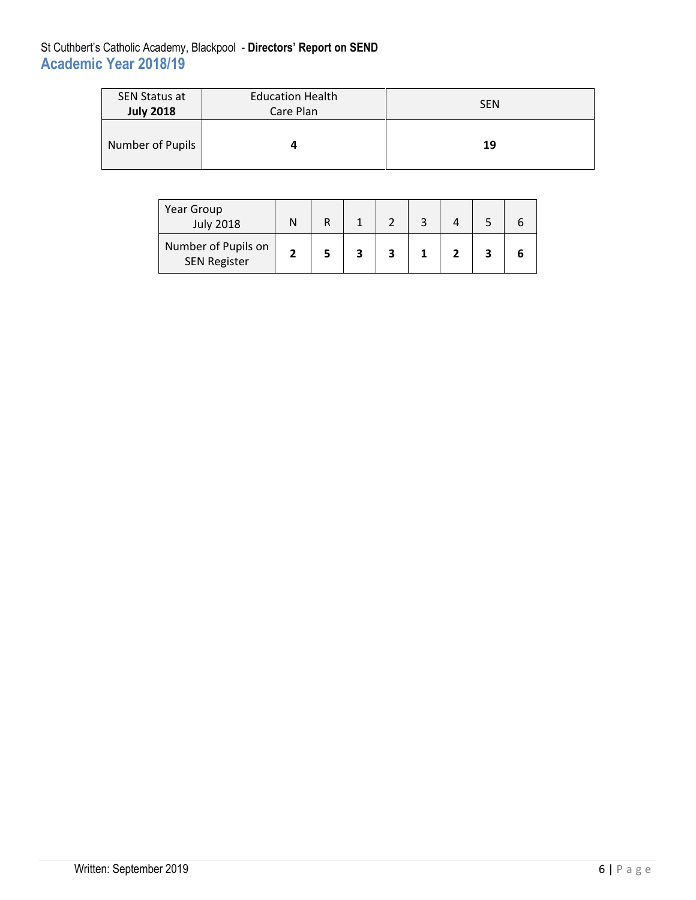| <b>SEN Status at</b> | <b>Education Health</b> | <b>SEN</b> |
|----------------------|-------------------------|------------|
| <b>July 2018</b>     | Care Plan               |            |
| Number of Pupils     |                         | 19         |

| Year Group<br><b>July 2018</b>             |  |   |  |  |  |
|--------------------------------------------|--|---|--|--|--|
| Number of Pupils on<br><b>SEN Register</b> |  | 2 |  |  |  |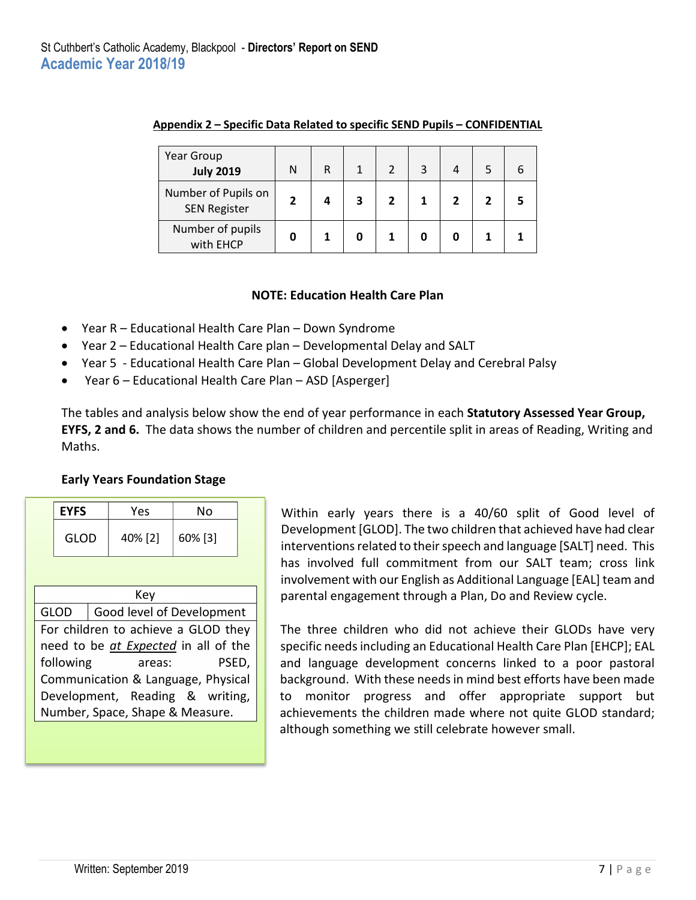| Year Group<br><b>July 2019</b>             | Ν | R |   |  |   |   |  |
|--------------------------------------------|---|---|---|--|---|---|--|
| Number of Pupils on<br><b>SEN Register</b> |   |   | 3 |  | 2 | 7 |  |
| Number of pupils<br>with EHCP              |   |   |   |  |   |   |  |

#### **Appendix 2 – Specific Data Related to specific SEND Pupils – CONFIDENTIAL**

#### **NOTE: Education Health Care Plan**

- Year R Educational Health Care Plan Down Syndrome
- Year 2 Educational Health Care plan Developmental Delay and SALT
- Year 5 Educational Health Care Plan Global Development Delay and Cerebral Palsy
- Year 6 Educational Health Care Plan ASD [Asperger]

The tables and analysis below show the end of year performance in each **Statutory Assessed Year Group, EYFS, 2 and 6.** The data shows the number of children and percentile split in areas of Reading, Writing and Maths.

#### **Early Years Foundation Stage**

|                                          | <b>EYFS</b><br><b>GLOD</b> |  | Yes     | No                                   |  |  |  |
|------------------------------------------|----------------------------|--|---------|--------------------------------------|--|--|--|
|                                          |                            |  | 40% [2] | 60% [3]                              |  |  |  |
|                                          |                            |  |         |                                      |  |  |  |
| Key                                      |                            |  |         |                                      |  |  |  |
| Good level of Development<br><b>GLOD</b> |                            |  |         |                                      |  |  |  |
| For children to achieve a GLOD they      |                            |  |         |                                      |  |  |  |
|                                          |                            |  |         | need to be at Expected in all of the |  |  |  |
|                                          |                            |  |         |                                      |  |  |  |

following areas: PSED, Communication & Language, Physical Development, Reading & writing, Number, Space, Shape & Measure.

Within early years there is a 40/60 split of Good level of Development [GLOD]. The two children that achieved have had clear interventions related to their speech and language [SALT] need. This has involved full commitment from our SALT team; cross link involvement with our English as Additional Language [EAL] team and parental engagement through a Plan, Do and Review cycle.

The three children who did not achieve their GLODs have very specific needs including an Educational Health Care Plan [EHCP]; EAL and language development concerns linked to a poor pastoral background. With these needs in mind best efforts have been made to monitor progress and offer appropriate support but achievements the children made where not quite GLOD standard; although something we still celebrate however small.